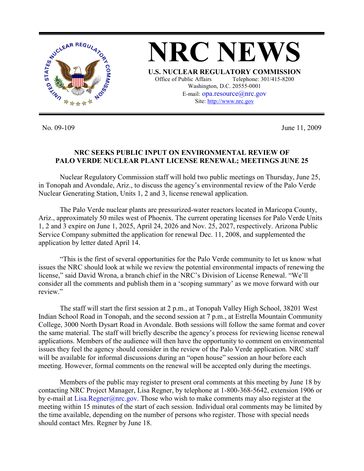

No. 09-109 June 11, 2009

## **NRC SEEKS PUBLIC INPUT ON ENVIRONMENTAL REVIEW OF PALO VERDE NUCLEAR PLANT LICENSE RENEWAL; MEETINGS JUNE 25**

 Nuclear Regulatory Commission staff will hold two public meetings on Thursday, June 25, in Tonopah and Avondale, Ariz., to discuss the agency's environmental review of the Palo Verde Nuclear Generating Station, Units 1, 2 and 3, license renewal application.

 The Palo Verde nuclear plants are pressurized-water reactors located in Maricopa County, Ariz., approximately 50 miles west of Phoenix. The current operating licenses for Palo Verde Units 1, 2 and 3 expire on June 1, 2025, April 24, 2026 and Nov. 25, 2027, respectively. Arizona Public Service Company submitted the application for renewal Dec. 11, 2008, and supplemented the application by letter dated April 14.

 "This is the first of several opportunities for the Palo Verde community to let us know what issues the NRC should look at while we review the potential environmental impacts of renewing the license," said David Wrona, a branch chief in the NRC's Division of License Renewal. "We'll consider all the comments and publish them in a 'scoping summary' as we move forward with our review."

 The staff will start the first session at 2 p.m., at Tonopah Valley High School, 38201 West Indian School Road in Tonopah, and the second session at 7 p.m., at Estrella Mountain Community College, 3000 North Dysart Road in Avondale. Both sessions will follow the same format and cover the same material. The staff will briefly describe the agency's process for reviewing license renewal applications. Members of the audience will then have the opportunity to comment on environmental issues they feel the agency should consider in the review of the Palo Verde application. NRC staff will be available for informal discussions during an "open house" session an hour before each meeting. However, formal comments on the renewal will be accepted only during the meetings.

 Members of the public may register to present oral comments at this meeting by June 18 by contacting NRC Project Manager, Lisa Regner, by telephone at 1-800-368-5642, extension 1906 or by e-mail at Lisa.Regner@nrc.gov. Those who wish to make comments may also register at the meeting within 15 minutes of the start of each session. Individual oral comments may be limited by the time available, depending on the number of persons who register. Those with special needs should contact Mrs. Regner by June 18.